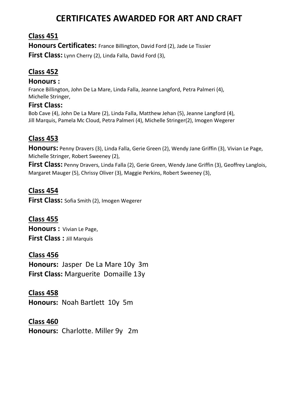# **CERTIFICATES AWARDED FOR ART AND CRAFT**

## **Class 451**

**Honours Certificates:** France Billington, David Ford (2), Jade Le Tissier **First Class:** Lynn Cherry (2), Linda Falla, David Ford (3),

# **Class 452**

#### **Honours :**

France Billington, John De La Mare, Linda Falla, Jeanne Langford, Petra Palmeri (4), Michelle Stringer,

## **First Class:**

Bob Cave (4), John De La Mare (2), Linda Falla, Matthew Jehan (5), Jeanne Langford (4), Jill Marquis, Pamela Mc Cloud, Petra Palmeri (4), Michelle Stringer(2), Imogen Wegerer

# **Class 453**

**Honours:** Penny Dravers (3), Linda Falla, Gerie Green (2), Wendy Jane Griffin (3), Vivian Le Page, Michelle Stringer, Robert Sweeney (2),

**First Class:** Penny Dravers, Linda Falla (2), Gerie Green, Wendy Jane Griffin (3), Geoffrey Langlois, Margaret Mauger (5), Chrissy Oliver (3), Maggie Perkins, Robert Sweeney (3),

## **Class 454**

**First Class:** Sofia Smith (2), Imogen Wegerer

# **Class 455**

**Honours :** Vivian Le Page, **First Class :** Jill Marquis

#### **Class 456**

 **Honours:** Jasper De La Mare 10y 3m  **First Class:** Marguerite Domaille 13y

## **Class 458**

**Honours:** Noah Bartlett 10y 5m

## **Class 460**

**Honours:** Charlotte. Miller 9y 2m